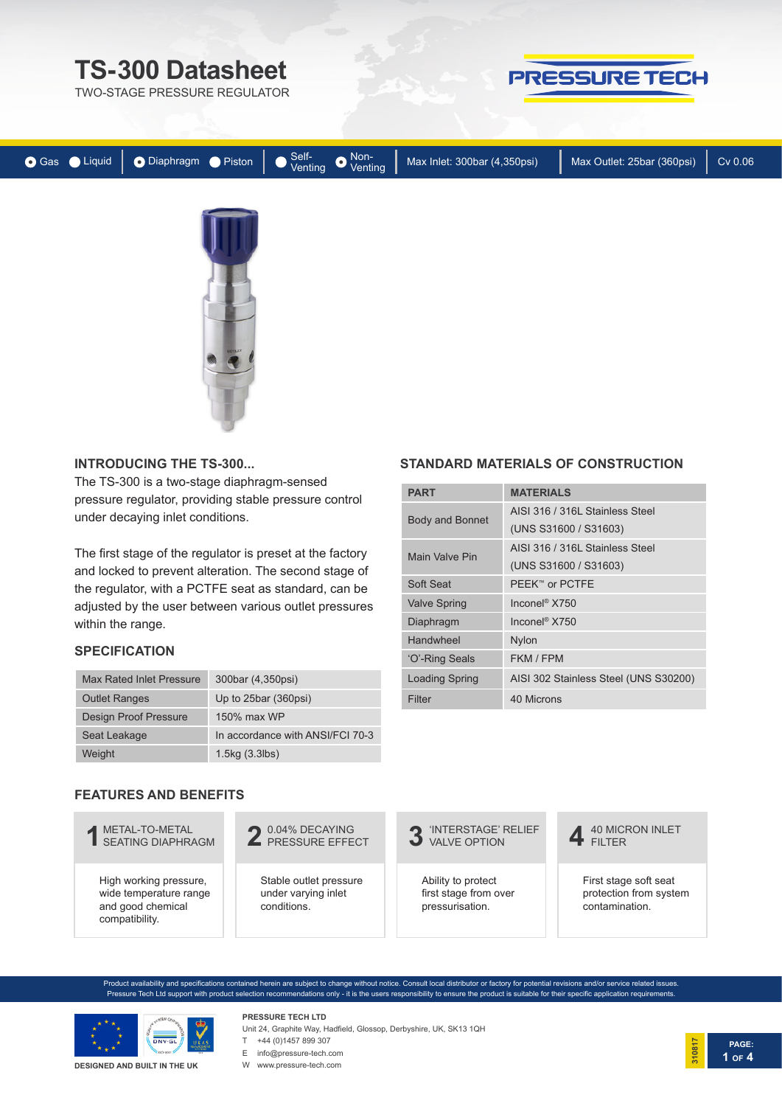# **TS-300 Datasheet**

TWO-STAGE PRESSURE REGULATOR

# PRESSURE TECH

| Gas Liquid | Diaphragm Piston | Self-<br>Venting O Venting | Max Inlet: 300bar (4,350psi) | Max Outlet: 25bar (360psi) | Cv 0.06 |
|------------|------------------|----------------------------|------------------------------|----------------------------|---------|
|            |                  |                            |                              |                            |         |
|            |                  |                            |                              |                            |         |
|            |                  |                            |                              |                            |         |
|            |                  |                            |                              |                            |         |
|            |                  |                            |                              |                            |         |

#### **INTRODUCING THE TS-300...**

The TS-300 is a two-stage diaphragm-sensed pressure regulator, providing stable pressure control under decaying inlet conditions.

The first stage of the regulator is preset at the factory and locked to prevent alteration. The second stage of the regulator, with a PCTFE seat as standard, can be adjusted by the user between various outlet pressures within the range.

#### **SPECIFICATION**

| Max Rated Inlet Pressure     | 300bar (4,350psi)                |
|------------------------------|----------------------------------|
| <b>Outlet Ranges</b>         | Up to 25 bar (360 psi)           |
| <b>Design Proof Pressure</b> | 150% max WP                      |
| Seat Leakage                 | In accordance with ANSI/FCI 70-3 |
| Weight                       | 1.5kg(3.3)                       |

#### **FEATURES AND BENEFITS**

**1** METAL-TO-METAL **1** SEATING DIAPHRAGM

High working pressure, wide temperature range and good chemical compatibility.



Stable outlet pressure under varying inlet conditions.

**STANDARD MATERIALS OF CONSTRUCTION**

| <b>PART</b>         | <b>MATERIALS</b>                      |  |
|---------------------|---------------------------------------|--|
|                     | AISI 316 / 316L Stainless Steel       |  |
| Body and Bonnet     | (UNS S31600 / S31603)                 |  |
| Main Valve Pin      | AISI 316 / 316 Stainless Steel        |  |
|                     | (UNS S31600 / S31603)                 |  |
| Soft Seat           | PEEK™ or PCTFE                        |  |
| <b>Valve Spring</b> | Inconel <sup>®</sup> X750             |  |
| Diaphragm           | Inconel <sup>®</sup> X750             |  |
| Handwheel           | <b>Nylon</b>                          |  |
| 'O'-Ring Seals      | FKM / FPM                             |  |
| Loading Spring      | AISI 302 Stainless Steel (UNS S30200) |  |
| Filter              | 40 Microns                            |  |

'INTERSTAGE' RELIEF **3** VALVE OPTION

Ability to protect first stage from over pressurisation.

40 MICRON INLET

First stage soft seat protection from system contamination.

Product availability and specifications contained herein are subject to change without notice. Consult local distributor or factory for potential revisions and/or service related issues. Pressure Tech Ltd support with product selection recommendations only - it is the users responsibility to ensure the product is suitable for their specific application requirements



Unit 24, Graphite Way, Hadfield, Glossop, Derbyshire, UK, SK13 1QH

**PRESSURE TECH LTD**

T +44 (0)1457 899 307

E info@pressure-tech.com

W www.pressure-tech.com

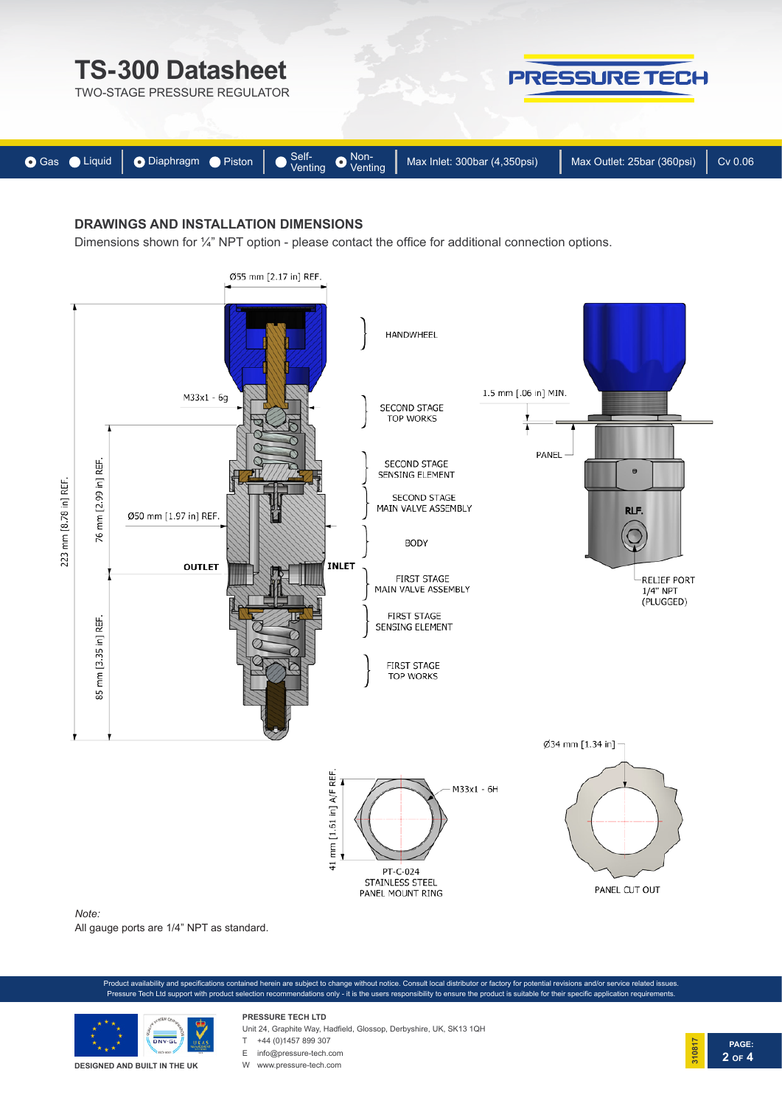

## **DRAWINGS AND INSTALLATION DIMENSIONS**

Dimensions shown for  $\frac{1}{4}$ " NPT option - please contact the office for additional connection options.



All gauge ports are 1/4" NPT as standard.



**PAGE:**

**2 OF 4**

**310817**



**DESIGNED AND BUILT IN THE UK**

#### Unit 24, Graphite Way, Hadfield, Glossop, Derbyshire, UK, SK13 1QH

T +44 (0)1457 899 307

- E info@pressure-tech.com
- W www.pressure-tech.com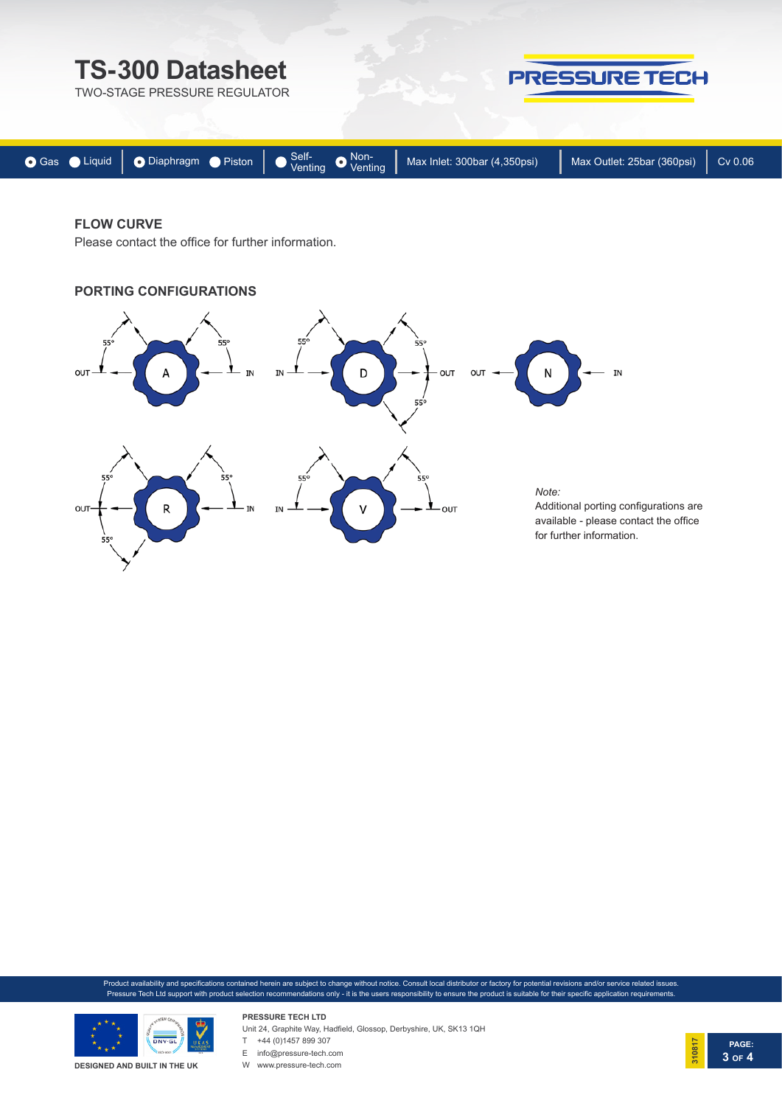

### **FLOW CURVE**

Please contact the office for further information.

#### **PORTING CONFIGURATIONS**



Product availability and specifications contained herein are subject to change without notice. Consult local distributor or factory for potential revisions and/or service related issues. Pressure Tech Ltd support with product selection recommendations only - it is the users responsibility to ensure the product is suitable for their specific application requirements.



**PRESSURE TECH LTD** Unit 24, Graphite Way, Hadfield, Glossop, Derbyshire, UK, SK13 1QH  $T +44 (0)1457899307$ 

E info@pressure-tech.com

W www.pressure-tech.com